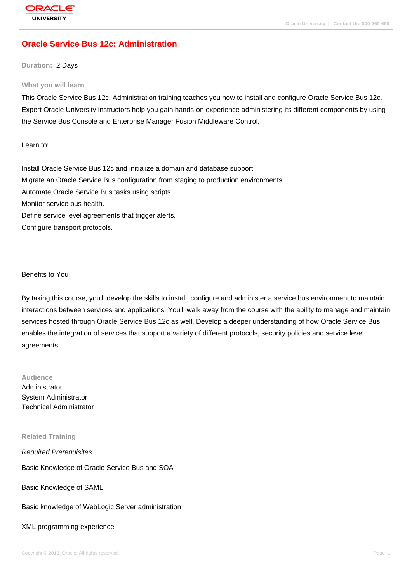# **[Oracle Service](http://education.oracle.com/pls/web_prod-plq-dad/db_pages.getpage?page_id=3) Bus 12c: Administration**

#### **Duration:** 2 Days

#### **What you will learn**

This Oracle Service Bus 12c: Administration training teaches you how to install and configure Oracle Service Bus 12c. Expert Oracle University instructors help you gain hands-on experience administering its different components by using the Service Bus Console and Enterprise Manager Fusion Middleware Control.

Learn to:

Install Oracle Service Bus 12c and initialize a domain and database support. Migrate an Oracle Service Bus configuration from staging to production environments. Automate Oracle Service Bus tasks using scripts. Monitor service bus health. Define service level agreements that trigger alerts. Configure transport protocols.

Benefits to You

By taking this course, you'll develop the skills to install, configure and administer a service bus environment to maintain interactions between services and applications. You'll walk away from the course with the ability to manage and maintain services hosted through Oracle Service Bus 12c as well. Develop a deeper understanding of how Oracle Service Bus enables the integration of services that support a variety of different protocols, security policies and service level agreements.

# **Audience**

Administrator System Administrator Technical Administrator

#### **Related Training**

Required Prerequisites

Basic Knowledge of Oracle Service Bus and SOA

Basic Knowledge of SAML

Basic knowledge of WebLogic Server administration

XML programming experience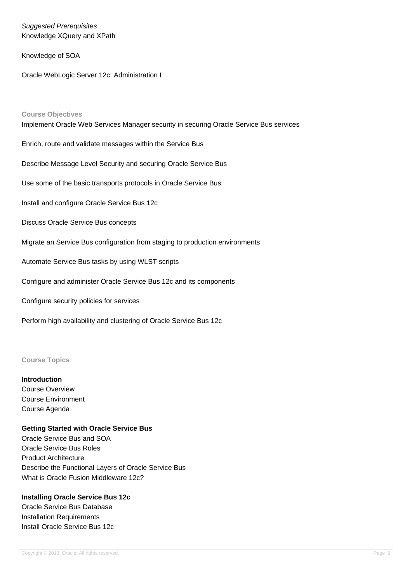Suggested Prerequisites Knowledge XQuery and XPath

Knowledge of SOA

Oracle WebLogic Server 12c: Administration I

# **Course Objectives** Implement Oracle Web Services Manager security in securing Oracle Service Bus services Enrich, route and validate messages within the Service Bus Describe Message Level Security and securing Oracle Service Bus Use some of the basic transports protocols in Oracle Service Bus Install and configure Oracle Service Bus 12c Discuss Oracle Service Bus concepts Migrate an Service Bus configuration from staging to production environments Automate Service Bus tasks by using WLST scripts Configure and administer Oracle Service Bus 12c and its components Configure security policies for services

Perform high availability and clustering of Oracle Service Bus 12c

# **Course Topics**

**Introduction**

Course Overview Course Environment Course Agenda

## **Getting Started with Oracle Service Bus**

Oracle Service Bus and SOA Oracle Service Bus Roles Product Architecture Describe the Functional Layers of Oracle Service Bus What is Oracle Fusion Middleware 12c?

## **Installing Oracle Service Bus 12c**

Oracle Service Bus Database Installation Requirements Install Oracle Service Bus 12c